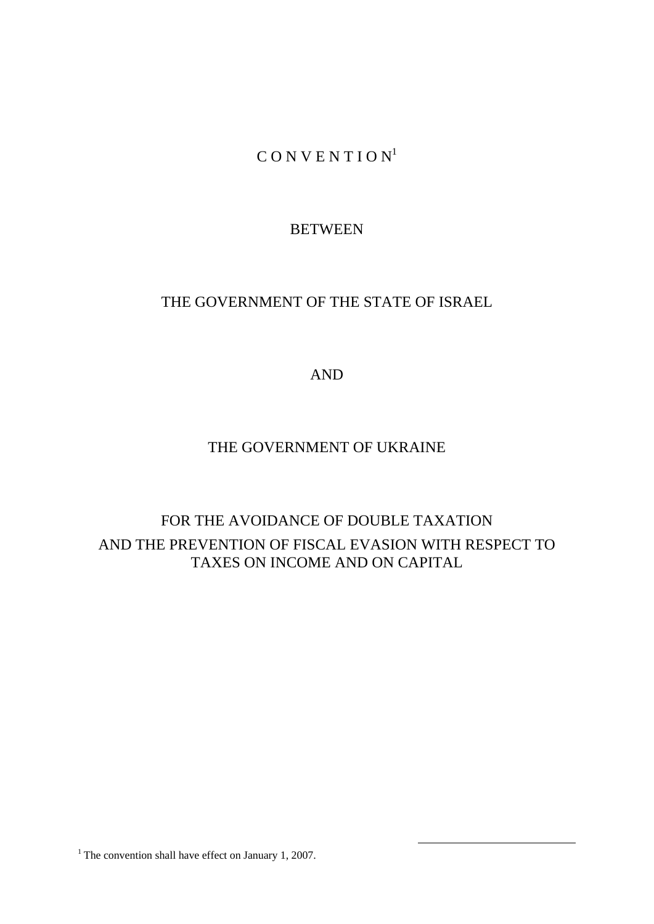$C$  O N V E N T I O N<sup>1</sup>

# **BETWEEN**

# THE GOVERNMENT OF THE STATE OF ISRAEL

AND

# THE GOVERNMENT OF UKRAINE

# FOR THE AVOIDANCE OF DOUBLE TAXATION AND THE PREVENTION OF FISCAL EVASION WITH RESPECT TO TAXES ON INCOME AND ON CAPITAL

<sup>1</sup> The convention shall have effect on January 1, 2007.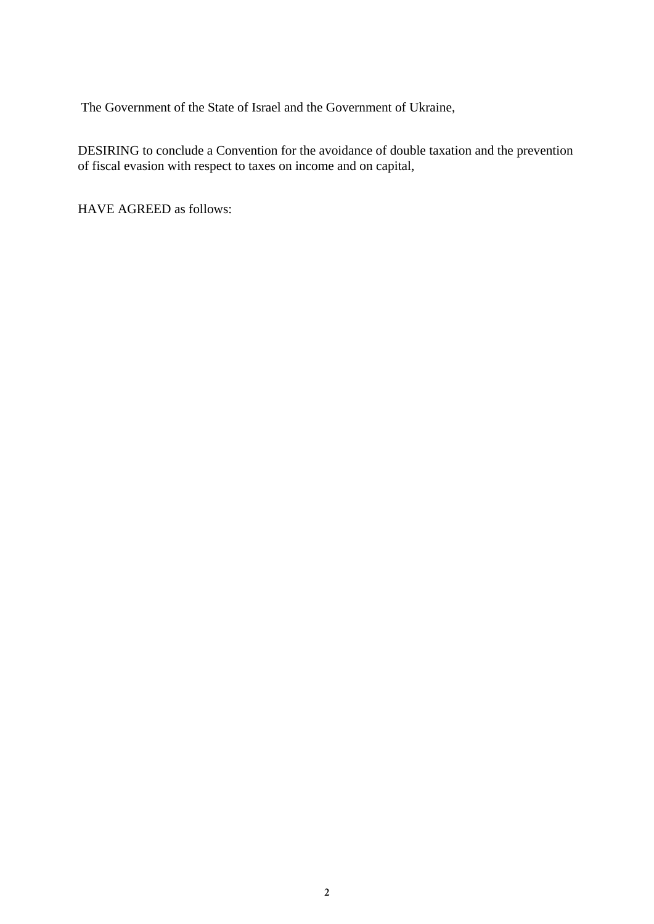The Government of the State of Israel and the Government of Ukraine,

DESIRING to conclude a Convention for the avoidance of double taxation and the prevention of fiscal evasion with respect to taxes on income and on capital,

HAVE AGREED as follows: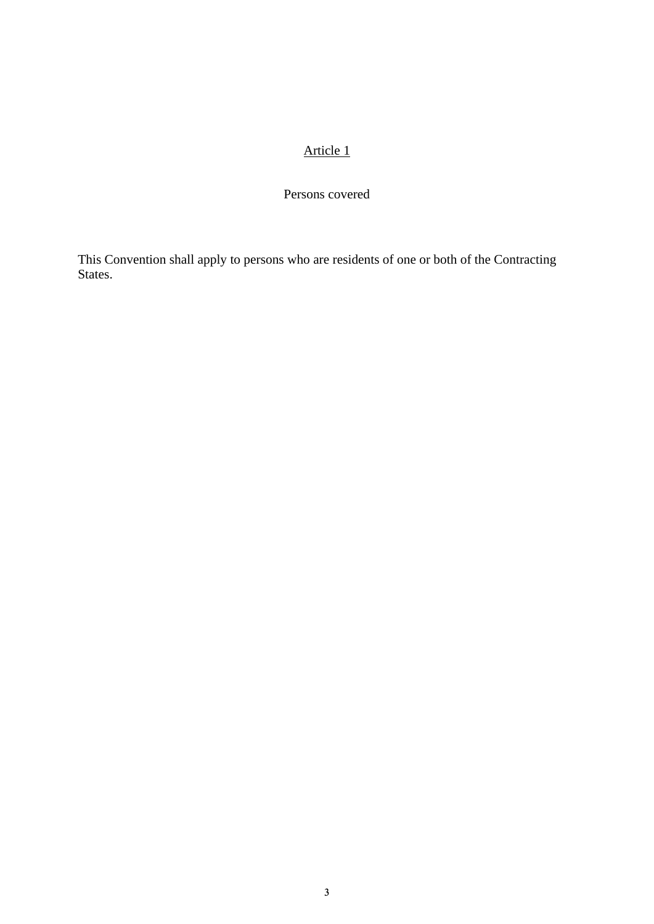Persons covered

This Convention shall apply to persons who are residents of one or both of the Contracting States.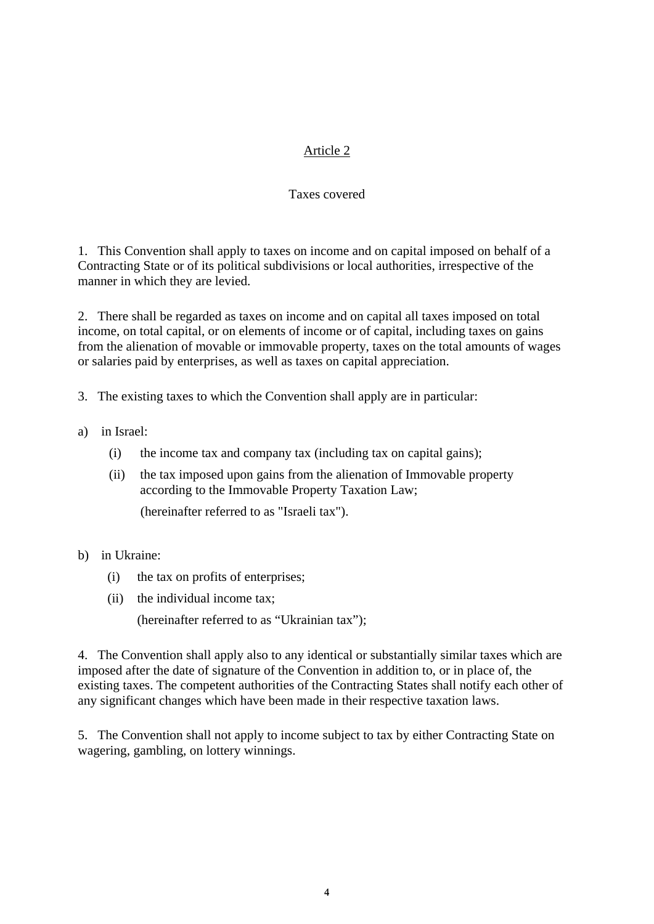#### Taxes covered

1. This Convention shall apply to taxes on income and on capital imposed on behalf of a Contracting State or of its political subdivisions or local authorities, irrespective of the manner in which they are levied.

2. There shall be regarded as taxes on income and on capital all taxes imposed on total income, on total capital, or on elements of income or of capital, including taxes on gains from the alienation of movable or immovable property, taxes on the total amounts of wages or salaries paid by enterprises, as well as taxes on capital appreciation.

3. The existing taxes to which the Convention shall apply are in particular:

- a) in Israel:
	- (i) the income tax and company tax (including tax on capital gains);
	- (ii) the tax imposed upon gains from the alienation of Immovable property according to the Immovable Property Taxation Law; (hereinafter referred to as "Israeli tax").
- b) in Ukraine:
	- (i) the tax on profits of enterprises;
	- (ii) the individual income tax;

(hereinafter referred to as "Ukrainian tax");

4. The Convention shall apply also to any identical or substantially similar taxes which are imposed after the date of signature of the Convention in addition to, or in place of, the existing taxes. The competent authorities of the Contracting States shall notify each other of any significant changes which have been made in their respective taxation laws.

5. The Convention shall not apply to income subject to tax by either Contracting State on wagering, gambling, on lottery winnings.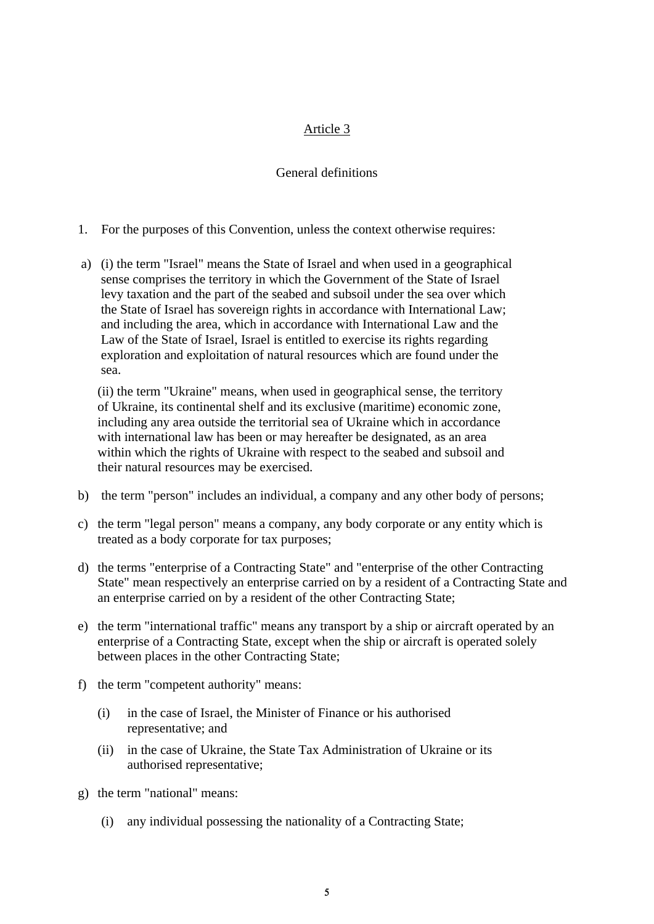#### General definitions

- 1. For the purposes of this Convention, unless the context otherwise requires:
- a) (i) the term "Israel" means the State of Israel and when used in a geographical sense comprises the territory in which the Government of the State of Israel levy taxation and the part of the seabed and subsoil under the sea over which the State of Israel has sovereign rights in accordance with International Law; and including the area, which in accordance with International Law and the Law of the State of Israel, Israel is entitled to exercise its rights regarding exploration and exploitation of natural resources which are found under the sea.

(ii) the term "Ukraine" means, when used in geographical sense, the territory of Ukraine, its continental shelf and its exclusive (maritime) economic zone, including any area outside the territorial sea of Ukraine which in accordance with international law has been or may hereafter be designated, as an area within which the rights of Ukraine with respect to the seabed and subsoil and their natural resources may be exercised.

- b) the term "person" includes an individual, a company and any other body of persons;
- c) the term "legal person" means a company, any body corporate or any entity which is treated as a body corporate for tax purposes;
- d) the terms "enterprise of a Contracting State" and "enterprise of the other Contracting State" mean respectively an enterprise carried on by a resident of a Contracting State and an enterprise carried on by a resident of the other Contracting State;
- e) the term "international traffic" means any transport by a ship or aircraft operated by an enterprise of a Contracting State, except when the ship or aircraft is operated solely between places in the other Contracting State;
- f) the term "competent authority" means:
	- (i) in the case of Israel, the Minister of Finance or his authorised representative; and
	- (ii) in the case of Ukraine, the State Tax Administration of Ukraine or its authorised representative;
- g) the term "national" means:
	- (i) any individual possessing the nationality of a Contracting State;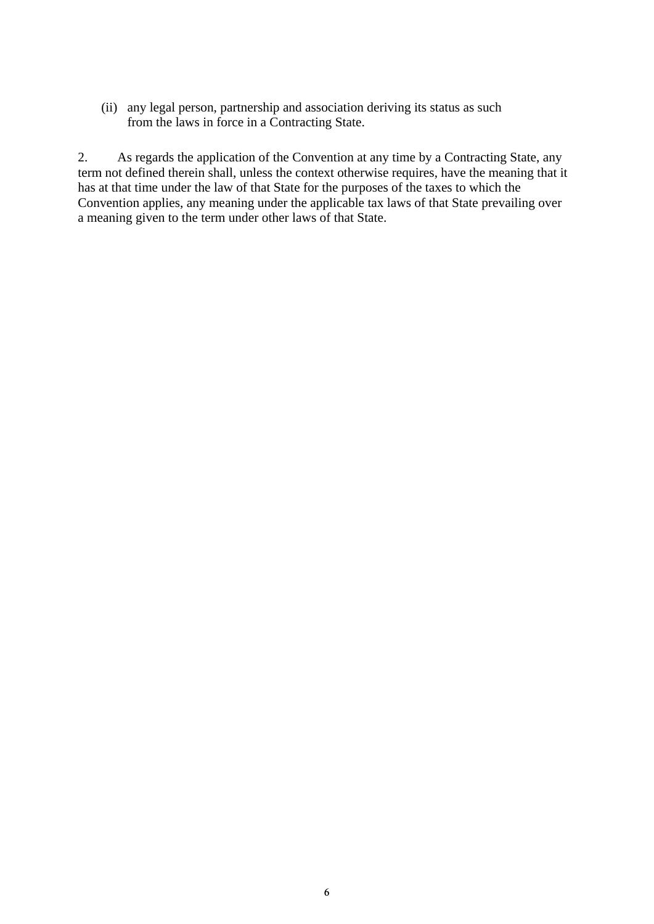(ii) any legal person, partnership and association deriving its status as such from the laws in force in a Contracting State.

2. As regards the application of the Convention at any time by a Contracting State, any term not defined therein shall, unless the context otherwise requires, have the meaning that it has at that time under the law of that State for the purposes of the taxes to which the Convention applies, any meaning under the applicable tax laws of that State prevailing over a meaning given to the term under other laws of that State.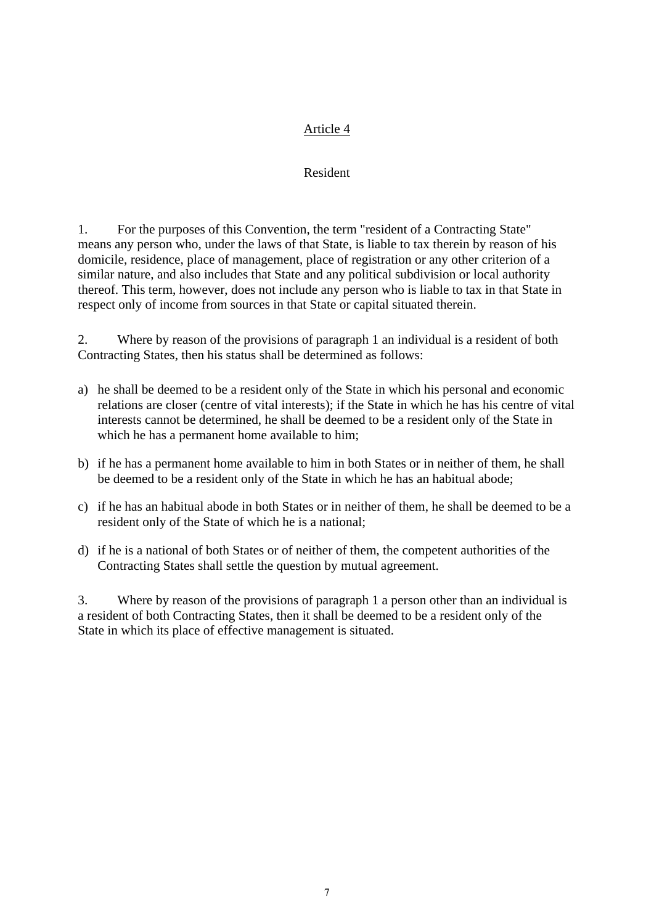#### Resident

1. For the purposes of this Convention, the term "resident of a Contracting State" means any person who, under the laws of that State, is liable to tax therein by reason of his domicile, residence, place of management, place of registration or any other criterion of a similar nature, and also includes that State and any political subdivision or local authority thereof. This term, however, does not include any person who is liable to tax in that State in respect only of income from sources in that State or capital situated therein.

2. Where by reason of the provisions of paragraph 1 an individual is a resident of both Contracting States, then his status shall be determined as follows:

- a) he shall be deemed to be a resident only of the State in which his personal and economic relations are closer (centre of vital interests); if the State in which he has his centre of vital interests cannot be determined, he shall be deemed to be a resident only of the State in which he has a permanent home available to him;
- b) if he has a permanent home available to him in both States or in neither of them, he shall be deemed to be a resident only of the State in which he has an habitual abode;
- c) if he has an habitual abode in both States or in neither of them, he shall be deemed to be a resident only of the State of which he is a national;
- d) if he is a national of both States or of neither of them, the competent authorities of the Contracting States shall settle the question by mutual agreement.

3. Where by reason of the provisions of paragraph 1 a person other than an individual is a resident of both Contracting States, then it shall be deemed to be a resident only of the State in which its place of effective management is situated.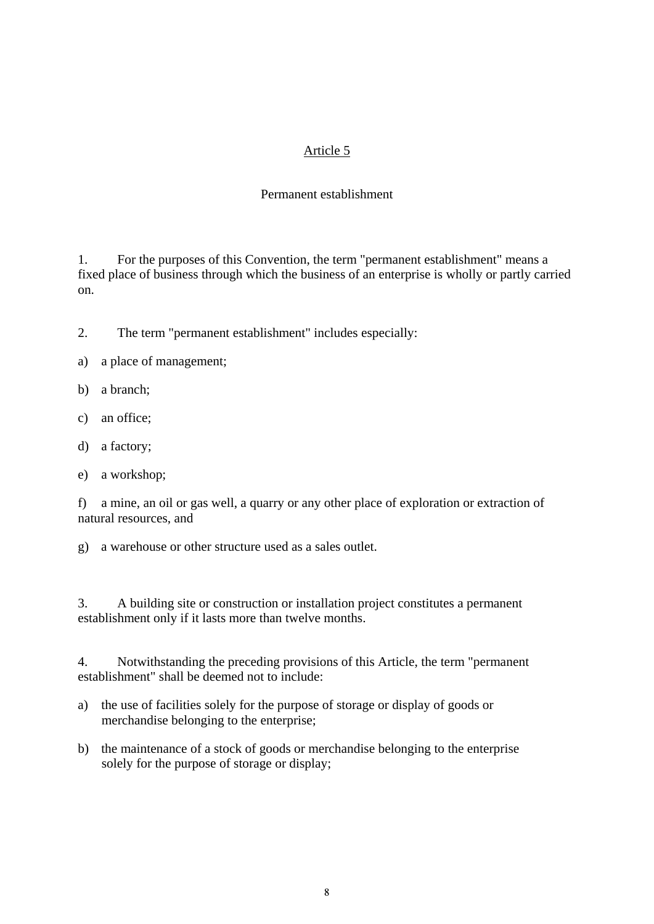### Permanent establishment

1. For the purposes of this Convention, the term "permanent establishment" means a fixed place of business through which the business of an enterprise is wholly or partly carried on.

- 2. The term "permanent establishment" includes especially:
- a) a place of management;
- b) a branch;
- c) an office;
- d) a factory;
- e) a workshop;

f) a mine, an oil or gas well, a quarry or any other place of exploration or extraction of natural resources, and

g) a warehouse or other structure used as a sales outlet.

3. A building site or construction or installation project constitutes a permanent establishment only if it lasts more than twelve months.

4. Notwithstanding the preceding provisions of this Article, the term "permanent establishment" shall be deemed not to include:

- a) the use of facilities solely for the purpose of storage or display of goods or merchandise belonging to the enterprise;
- b) the maintenance of a stock of goods or merchandise belonging to the enterprise solely for the purpose of storage or display;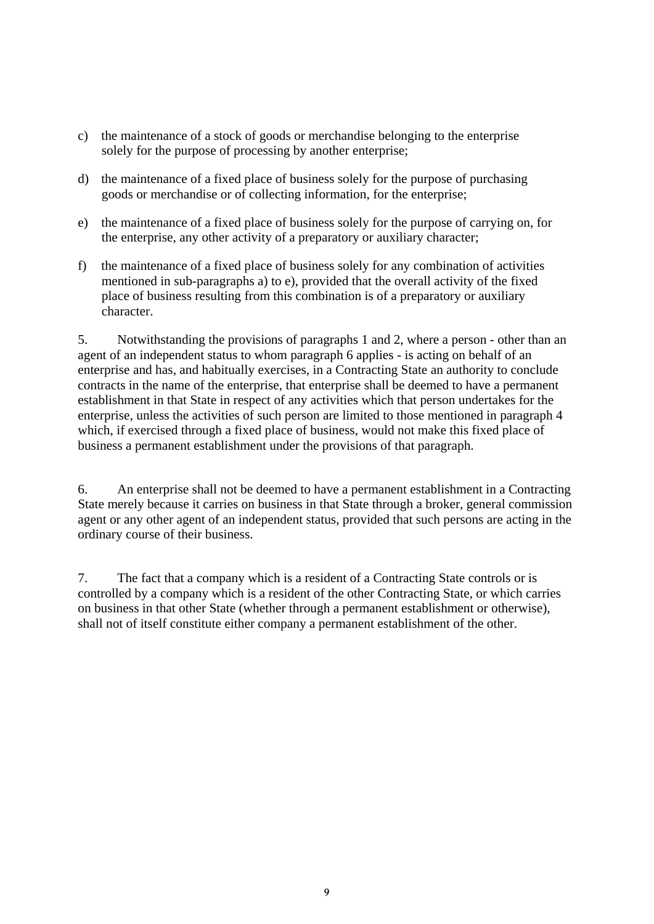- c) the maintenance of a stock of goods or merchandise belonging to the enterprise solely for the purpose of processing by another enterprise;
- d) the maintenance of a fixed place of business solely for the purpose of purchasing goods or merchandise or of collecting information, for the enterprise;
- e) the maintenance of a fixed place of business solely for the purpose of carrying on, for the enterprise, any other activity of a preparatory or auxiliary character;
- f) the maintenance of a fixed place of business solely for any combination of activities mentioned in sub-paragraphs a) to e), provided that the overall activity of the fixed place of business resulting from this combination is of a preparatory or auxiliary character.

5. Notwithstanding the provisions of paragraphs 1 and 2, where a person - other than an agent of an independent status to whom paragraph 6 applies - is acting on behalf of an enterprise and has, and habitually exercises, in a Contracting State an authority to conclude contracts in the name of the enterprise, that enterprise shall be deemed to have a permanent establishment in that State in respect of any activities which that person undertakes for the enterprise, unless the activities of such person are limited to those mentioned in paragraph 4 which, if exercised through a fixed place of business, would not make this fixed place of business a permanent establishment under the provisions of that paragraph.

6. An enterprise shall not be deemed to have a permanent establishment in a Contracting State merely because it carries on business in that State through a broker, general commission agent or any other agent of an independent status, provided that such persons are acting in the ordinary course of their business.

7. The fact that a company which is a resident of a Contracting State controls or is controlled by a company which is a resident of the other Contracting State, or which carries on business in that other State (whether through a permanent establishment or otherwise), shall not of itself constitute either company a permanent establishment of the other.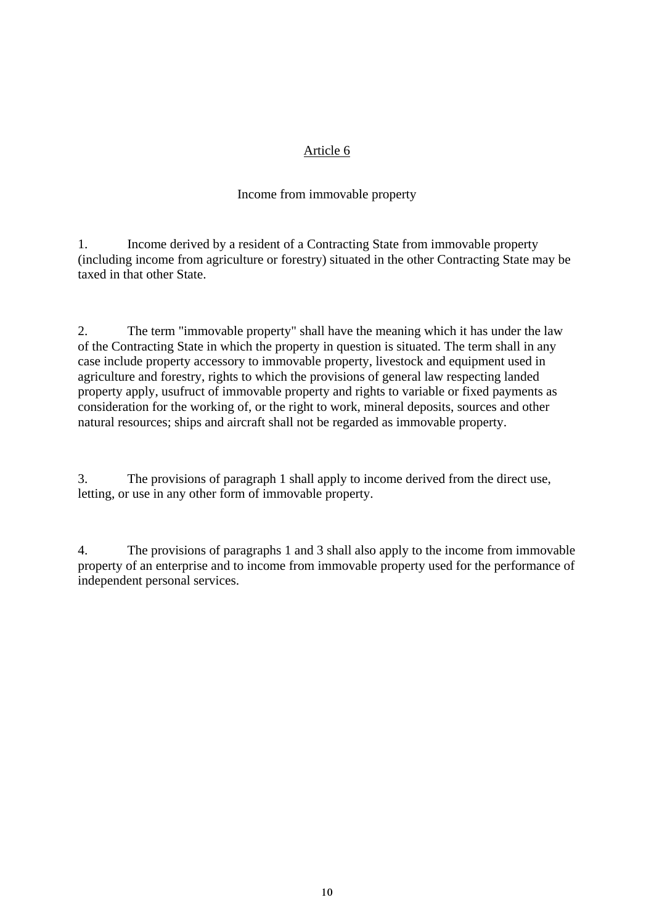### Income from immovable property

1. Income derived by a resident of a Contracting State from immovable property (including income from agriculture or forestry) situated in the other Contracting State may be taxed in that other State.

2. The term "immovable property" shall have the meaning which it has under the law of the Contracting State in which the property in question is situated. The term shall in any case include property accessory to immovable property, livestock and equipment used in agriculture and forestry, rights to which the provisions of general law respecting landed property apply, usufruct of immovable property and rights to variable or fixed payments as consideration for the working of, or the right to work, mineral deposits, sources and other natural resources; ships and aircraft shall not be regarded as immovable property.

3. The provisions of paragraph 1 shall apply to income derived from the direct use, letting, or use in any other form of immovable property.

4. The provisions of paragraphs 1 and 3 shall also apply to the income from immovable property of an enterprise and to income from immovable property used for the performance of independent personal services.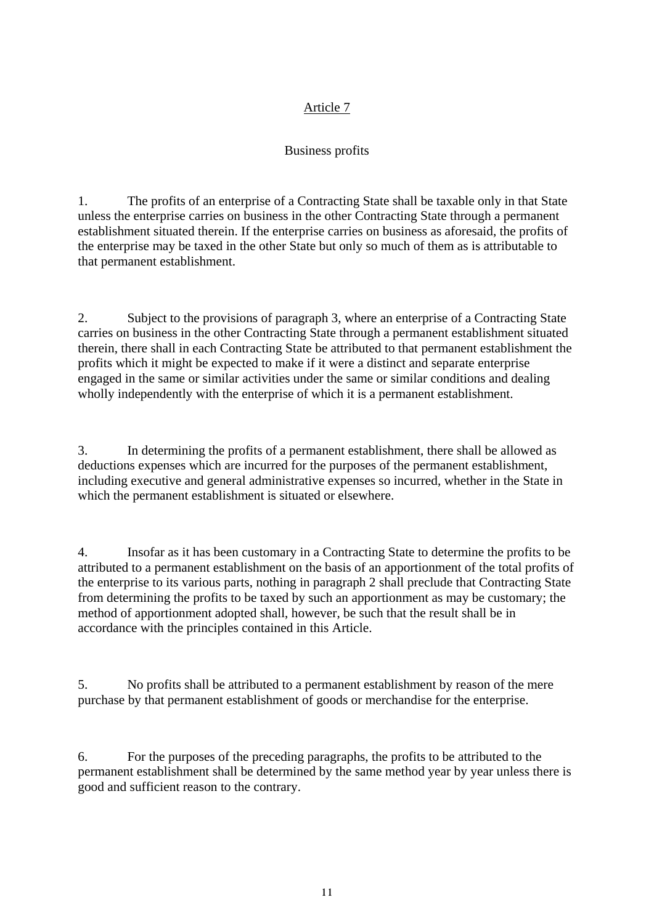# Business profits

1. The profits of an enterprise of a Contracting State shall be taxable only in that State unless the enterprise carries on business in the other Contracting State through a permanent establishment situated therein. If the enterprise carries on business as aforesaid, the profits of the enterprise may be taxed in the other State but only so much of them as is attributable to that permanent establishment.

2. Subject to the provisions of paragraph 3, where an enterprise of a Contracting State carries on business in the other Contracting State through a permanent establishment situated therein, there shall in each Contracting State be attributed to that permanent establishment the profits which it might be expected to make if it were a distinct and separate enterprise engaged in the same or similar activities under the same or similar conditions and dealing wholly independently with the enterprise of which it is a permanent establishment.

3. In determining the profits of a permanent establishment, there shall be allowed as deductions expenses which are incurred for the purposes of the permanent establishment, including executive and general administrative expenses so incurred, whether in the State in which the permanent establishment is situated or elsewhere.

4. Insofar as it has been customary in a Contracting State to determine the profits to be attributed to a permanent establishment on the basis of an apportionment of the total profits of the enterprise to its various parts, nothing in paragraph 2 shall preclude that Contracting State from determining the profits to be taxed by such an apportionment as may be customary; the method of apportionment adopted shall, however, be such that the result shall be in accordance with the principles contained in this Article.

5. No profits shall be attributed to a permanent establishment by reason of the mere purchase by that permanent establishment of goods or merchandise for the enterprise.

6. For the purposes of the preceding paragraphs, the profits to be attributed to the permanent establishment shall be determined by the same method year by year unless there is good and sufficient reason to the contrary.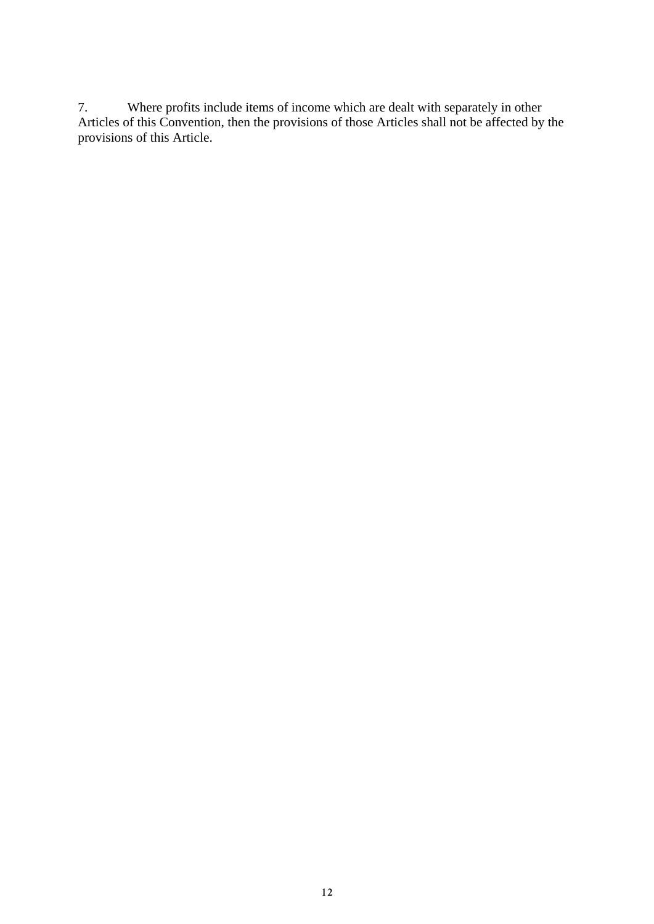7. Where profits include items of income which are dealt with separately in other Articles of this Convention, then the provisions of those Articles shall not be affected by the provisions of this Article.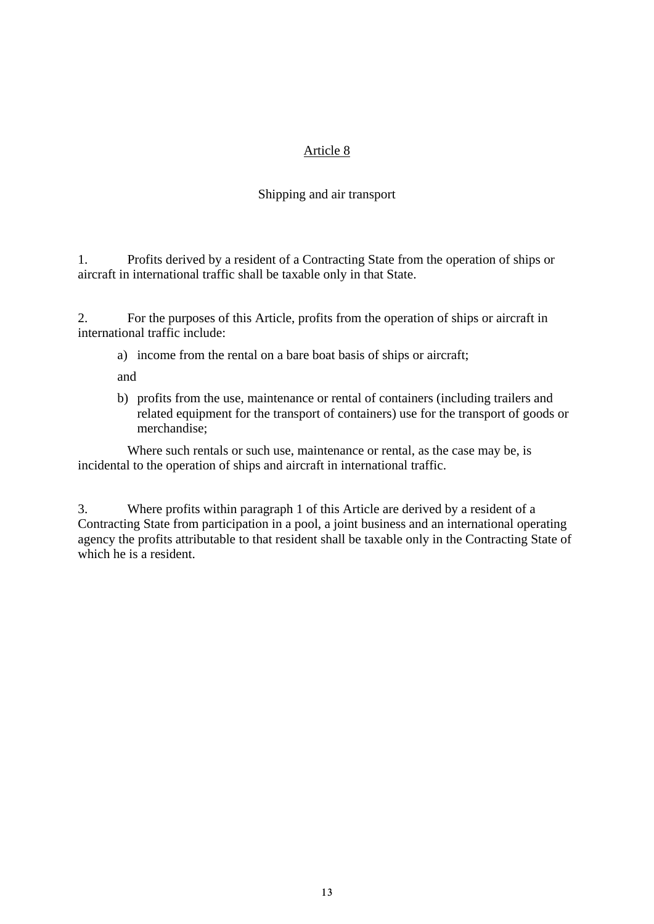### Shipping and air transport

1. Profits derived by a resident of a Contracting State from the operation of ships or aircraft in international traffic shall be taxable only in that State.

2. For the purposes of this Article, profits from the operation of ships or aircraft in international traffic include:

a) income from the rental on a bare boat basis of ships or aircraft;

and

b) profits from the use, maintenance or rental of containers (including trailers and related equipment for the transport of containers) use for the transport of goods or merchandise;

 Where such rentals or such use, maintenance or rental, as the case may be, is incidental to the operation of ships and aircraft in international traffic.

3. Where profits within paragraph 1 of this Article are derived by a resident of a Contracting State from participation in a pool, a joint business and an international operating agency the profits attributable to that resident shall be taxable only in the Contracting State of which he is a resident.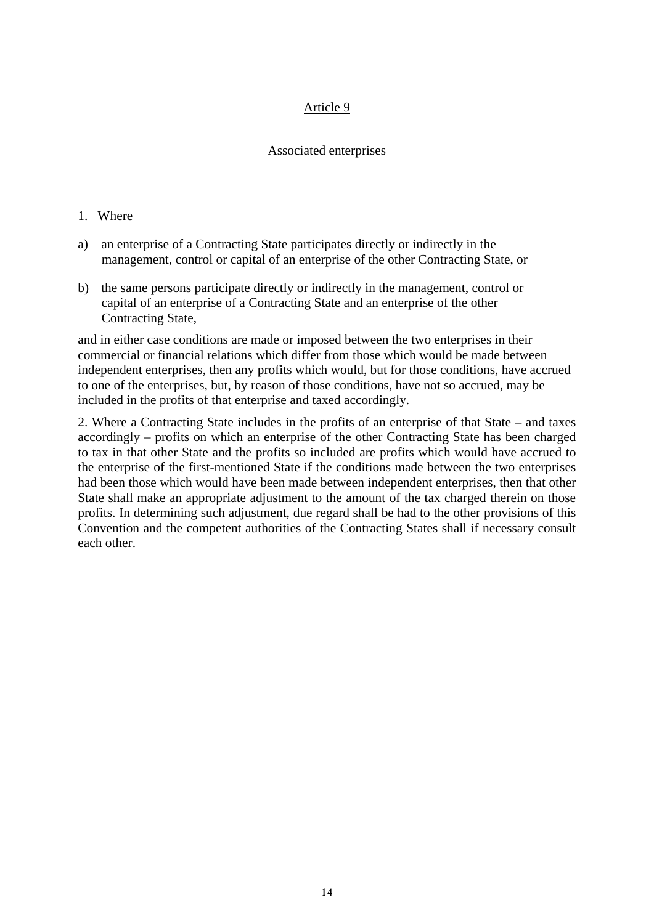#### Associated enterprises

#### 1. Where

- a) an enterprise of a Contracting State participates directly or indirectly in the management, control or capital of an enterprise of the other Contracting State, or
- b) the same persons participate directly or indirectly in the management, control or capital of an enterprise of a Contracting State and an enterprise of the other Contracting State,

and in either case conditions are made or imposed between the two enterprises in their commercial or financial relations which differ from those which would be made between independent enterprises, then any profits which would, but for those conditions, have accrued to one of the enterprises, but, by reason of those conditions, have not so accrued, may be included in the profits of that enterprise and taxed accordingly.

2. Where a Contracting State includes in the profits of an enterprise of that State – and taxes accordingly – profits on which an enterprise of the other Contracting State has been charged to tax in that other State and the profits so included are profits which would have accrued to the enterprise of the first-mentioned State if the conditions made between the two enterprises had been those which would have been made between independent enterprises, then that other State shall make an appropriate adjustment to the amount of the tax charged therein on those profits. In determining such adjustment, due regard shall be had to the other provisions of this Convention and the competent authorities of the Contracting States shall if necessary consult each other.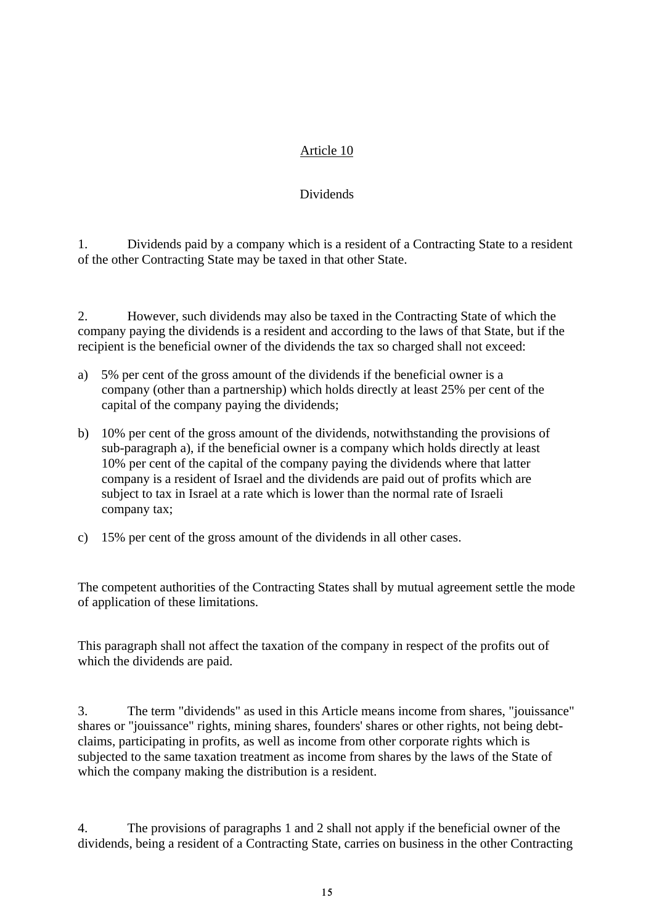### Dividends

1. Dividends paid by a company which is a resident of a Contracting State to a resident of the other Contracting State may be taxed in that other State.

2. However, such dividends may also be taxed in the Contracting State of which the company paying the dividends is a resident and according to the laws of that State, but if the recipient is the beneficial owner of the dividends the tax so charged shall not exceed:

- a) 5% per cent of the gross amount of the dividends if the beneficial owner is a company (other than a partnership) which holds directly at least 25% per cent of the capital of the company paying the dividends;
- b) 10% per cent of the gross amount of the dividends, notwithstanding the provisions of sub-paragraph a), if the beneficial owner is a company which holds directly at least 10% per cent of the capital of the company paying the dividends where that latter company is a resident of Israel and the dividends are paid out of profits which are subject to tax in Israel at a rate which is lower than the normal rate of Israeli company tax;
- c) 15% per cent of the gross amount of the dividends in all other cases.

The competent authorities of the Contracting States shall by mutual agreement settle the mode of application of these limitations.

This paragraph shall not affect the taxation of the company in respect of the profits out of which the dividends are paid.

3. The term "dividends" as used in this Article means income from shares, "jouissance" shares or "jouissance" rights, mining shares, founders' shares or other rights, not being debtclaims, participating in profits, as well as income from other corporate rights which is subjected to the same taxation treatment as income from shares by the laws of the State of which the company making the distribution is a resident.

4. The provisions of paragraphs 1 and 2 shall not apply if the beneficial owner of the dividends, being a resident of a Contracting State, carries on business in the other Contracting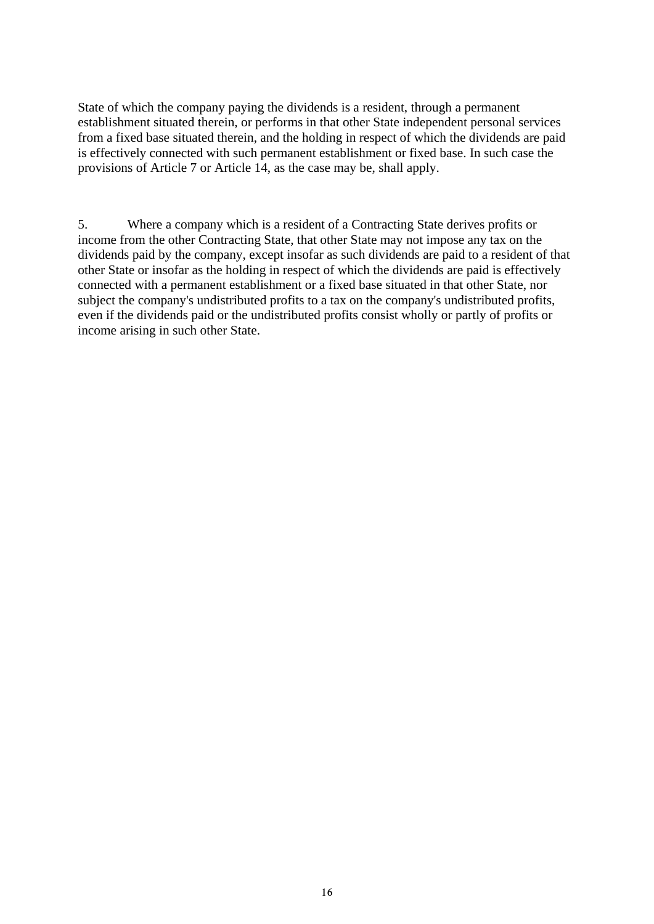State of which the company paying the dividends is a resident, through a permanent establishment situated therein, or performs in that other State independent personal services from a fixed base situated therein, and the holding in respect of which the dividends are paid is effectively connected with such permanent establishment or fixed base. In such case the provisions of Article 7 or Article 14, as the case may be, shall apply.

5. Where a company which is a resident of a Contracting State derives profits or income from the other Contracting State, that other State may not impose any tax on the dividends paid by the company, except insofar as such dividends are paid to a resident of that other State or insofar as the holding in respect of which the dividends are paid is effectively connected with a permanent establishment or a fixed base situated in that other State, nor subject the company's undistributed profits to a tax on the company's undistributed profits, even if the dividends paid or the undistributed profits consist wholly or partly of profits or income arising in such other State.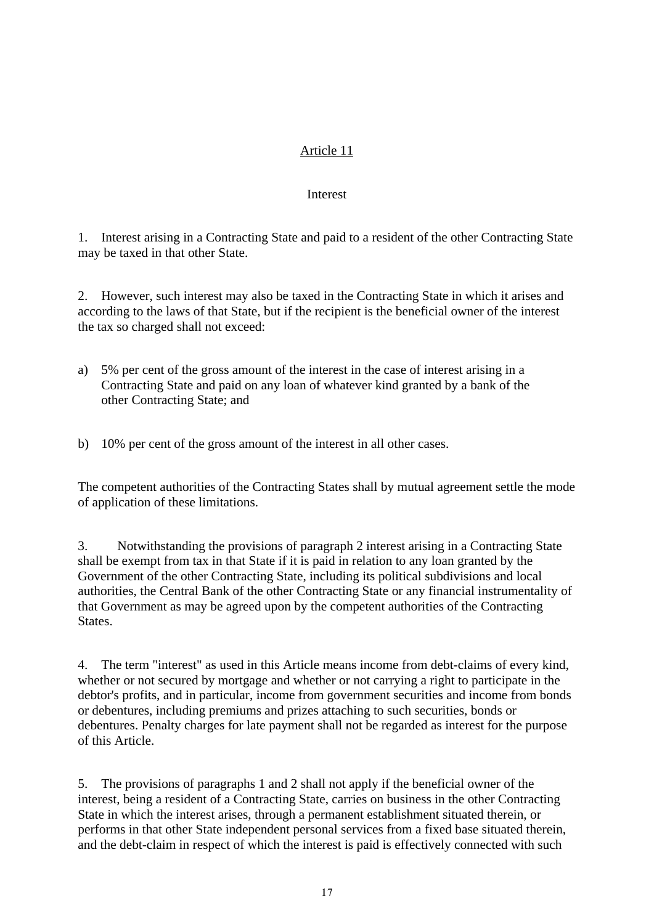#### Interest

1. Interest arising in a Contracting State and paid to a resident of the other Contracting State may be taxed in that other State.

2. However, such interest may also be taxed in the Contracting State in which it arises and according to the laws of that State, but if the recipient is the beneficial owner of the interest the tax so charged shall not exceed:

- a) 5% per cent of the gross amount of the interest in the case of interest arising in a Contracting State and paid on any loan of whatever kind granted by a bank of the other Contracting State; and
- b) 10% per cent of the gross amount of the interest in all other cases.

The competent authorities of the Contracting States shall by mutual agreement settle the mode of application of these limitations.

3. Notwithstanding the provisions of paragraph 2 interest arising in a Contracting State shall be exempt from tax in that State if it is paid in relation to any loan granted by the Government of the other Contracting State, including its political subdivisions and local authorities, the Central Bank of the other Contracting State or any financial instrumentality of that Government as may be agreed upon by the competent authorities of the Contracting States.

4. The term "interest" as used in this Article means income from debt-claims of every kind, whether or not secured by mortgage and whether or not carrying a right to participate in the debtor's profits, and in particular, income from government securities and income from bonds or debentures, including premiums and prizes attaching to such securities, bonds or debentures. Penalty charges for late payment shall not be regarded as interest for the purpose of this Article.

5. The provisions of paragraphs 1 and 2 shall not apply if the beneficial owner of the interest, being a resident of a Contracting State, carries on business in the other Contracting State in which the interest arises, through a permanent establishment situated therein, or performs in that other State independent personal services from a fixed base situated therein, and the debt-claim in respect of which the interest is paid is effectively connected with such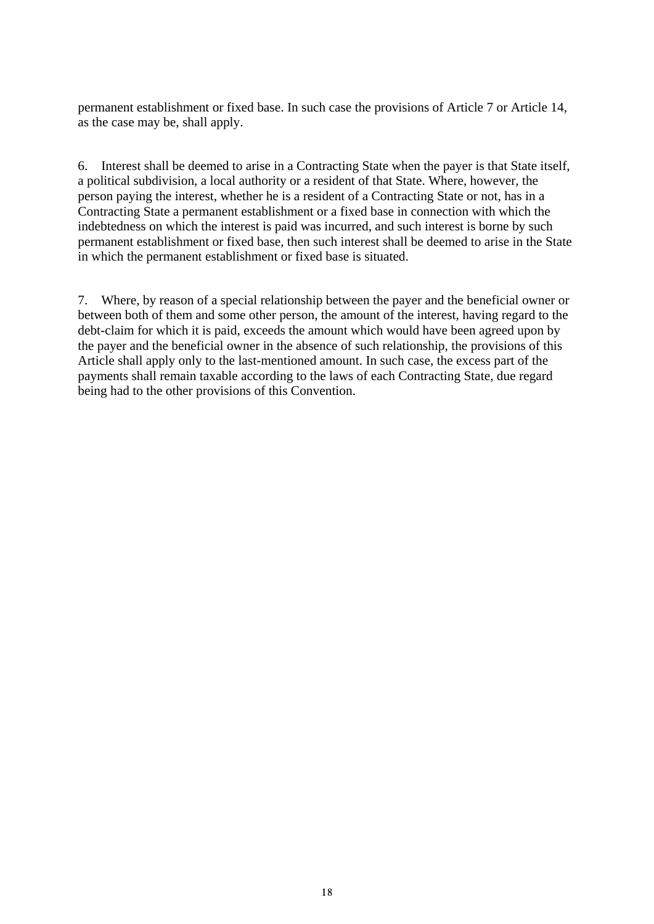permanent establishment or fixed base. In such case the provisions of Article 7 or Article 14, as the case may be, shall apply.

6. Interest shall be deemed to arise in a Contracting State when the payer is that State itself, a political subdivision, a local authority or a resident of that State. Where, however, the person paying the interest, whether he is a resident of a Contracting State or not, has in a Contracting State a permanent establishment or a fixed base in connection with which the indebtedness on which the interest is paid was incurred, and such interest is borne by such permanent establishment or fixed base, then such interest shall be deemed to arise in the State in which the permanent establishment or fixed base is situated.

7. Where, by reason of a special relationship between the payer and the beneficial owner or between both of them and some other person, the amount of the interest, having regard to the debt-claim for which it is paid, exceeds the amount which would have been agreed upon by the payer and the beneficial owner in the absence of such relationship, the provisions of this Article shall apply only to the last-mentioned amount. In such case, the excess part of the payments shall remain taxable according to the laws of each Contracting State, due regard being had to the other provisions of this Convention.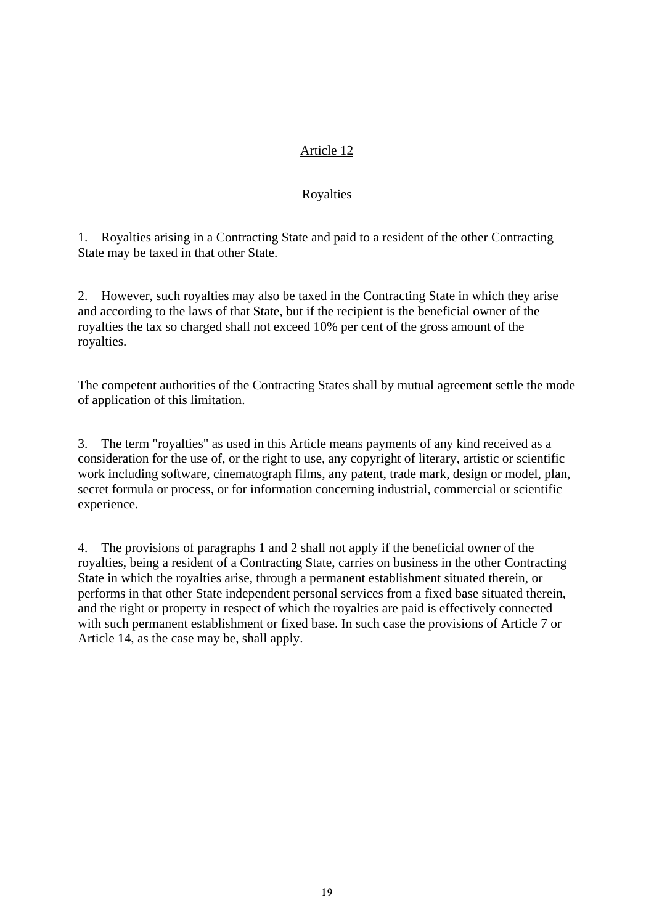### Royalties

1. Royalties arising in a Contracting State and paid to a resident of the other Contracting State may be taxed in that other State.

2. However, such royalties may also be taxed in the Contracting State in which they arise and according to the laws of that State, but if the recipient is the beneficial owner of the royalties the tax so charged shall not exceed 10% per cent of the gross amount of the royalties.

The competent authorities of the Contracting States shall by mutual agreement settle the mode of application of this limitation.

3. The term "royalties" as used in this Article means payments of any kind received as a consideration for the use of, or the right to use, any copyright of literary, artistic or scientific work including software, cinematograph films, any patent, trade mark, design or model, plan, secret formula or process, or for information concerning industrial, commercial or scientific experience.

4. The provisions of paragraphs 1 and 2 shall not apply if the beneficial owner of the royalties, being a resident of a Contracting State, carries on business in the other Contracting State in which the royalties arise, through a permanent establishment situated therein, or performs in that other State independent personal services from a fixed base situated therein, and the right or property in respect of which the royalties are paid is effectively connected with such permanent establishment or fixed base. In such case the provisions of Article 7 or Article 14, as the case may be, shall apply.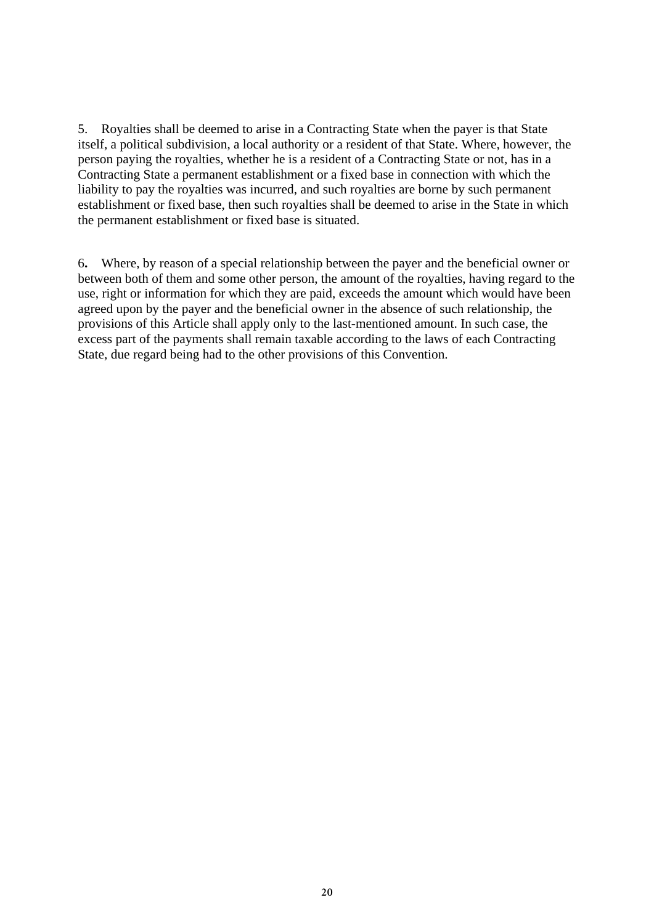5. Royalties shall be deemed to arise in a Contracting State when the payer is that State itself, a political subdivision, a local authority or a resident of that State. Where, however, the person paying the royalties, whether he is a resident of a Contracting State or not, has in a Contracting State a permanent establishment or a fixed base in connection with which the liability to pay the royalties was incurred, and such royalties are borne by such permanent establishment or fixed base, then such royalties shall be deemed to arise in the State in which the permanent establishment or fixed base is situated.

6**.** Where, by reason of a special relationship between the payer and the beneficial owner or between both of them and some other person, the amount of the royalties, having regard to the use, right or information for which they are paid, exceeds the amount which would have been agreed upon by the payer and the beneficial owner in the absence of such relationship, the provisions of this Article shall apply only to the last-mentioned amount. In such case, the excess part of the payments shall remain taxable according to the laws of each Contracting State, due regard being had to the other provisions of this Convention.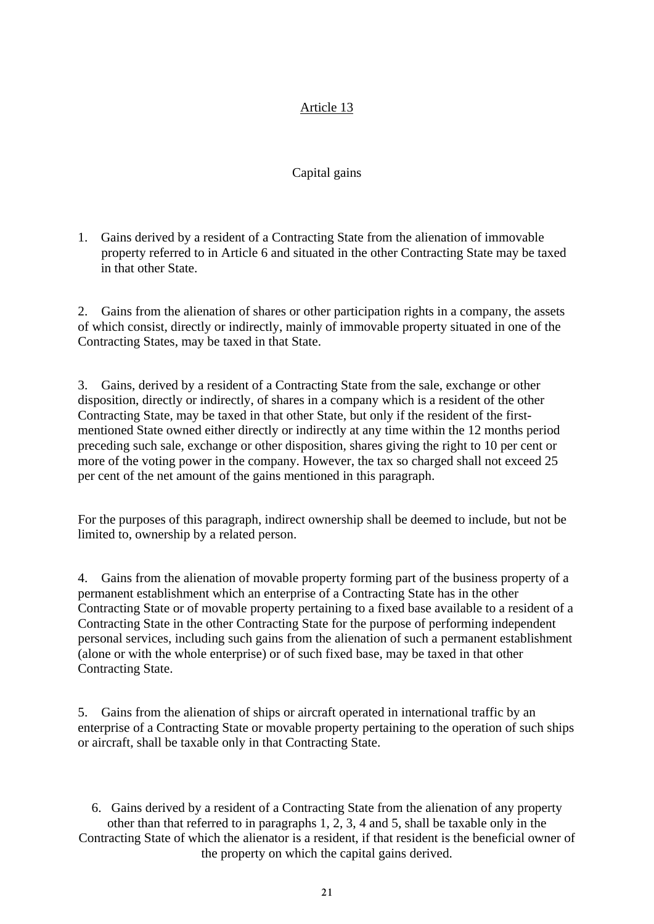### Capital gains

1. Gains derived by a resident of a Contracting State from the alienation of immovable property referred to in Article 6 and situated in the other Contracting State may be taxed in that other State.

2. Gains from the alienation of shares or other participation rights in a company, the assets of which consist, directly or indirectly, mainly of immovable property situated in one of the Contracting States, may be taxed in that State.

3. Gains, derived by a resident of a Contracting State from the sale, exchange or other disposition, directly or indirectly, of shares in a company which is a resident of the other Contracting State, may be taxed in that other State, but only if the resident of the firstmentioned State owned either directly or indirectly at any time within the 12 months period preceding such sale, exchange or other disposition, shares giving the right to 10 per cent or more of the voting power in the company. However, the tax so charged shall not exceed 25 per cent of the net amount of the gains mentioned in this paragraph.

For the purposes of this paragraph, indirect ownership shall be deemed to include, but not be limited to, ownership by a related person.

4. Gains from the alienation of movable property forming part of the business property of a permanent establishment which an enterprise of a Contracting State has in the other Contracting State or of movable property pertaining to a fixed base available to a resident of a Contracting State in the other Contracting State for the purpose of performing independent personal services, including such gains from the alienation of such a permanent establishment (alone or with the whole enterprise) or of such fixed base, may be taxed in that other Contracting State.

5. Gains from the alienation of ships or aircraft operated in international traffic by an enterprise of a Contracting State or movable property pertaining to the operation of such ships or aircraft, shall be taxable only in that Contracting State.

6. Gains derived by a resident of a Contracting State from the alienation of any property other than that referred to in paragraphs 1, 2, 3, 4 and 5, shall be taxable only in the Contracting State of which the alienator is a resident, if that resident is the beneficial owner of the property on which the capital gains derived.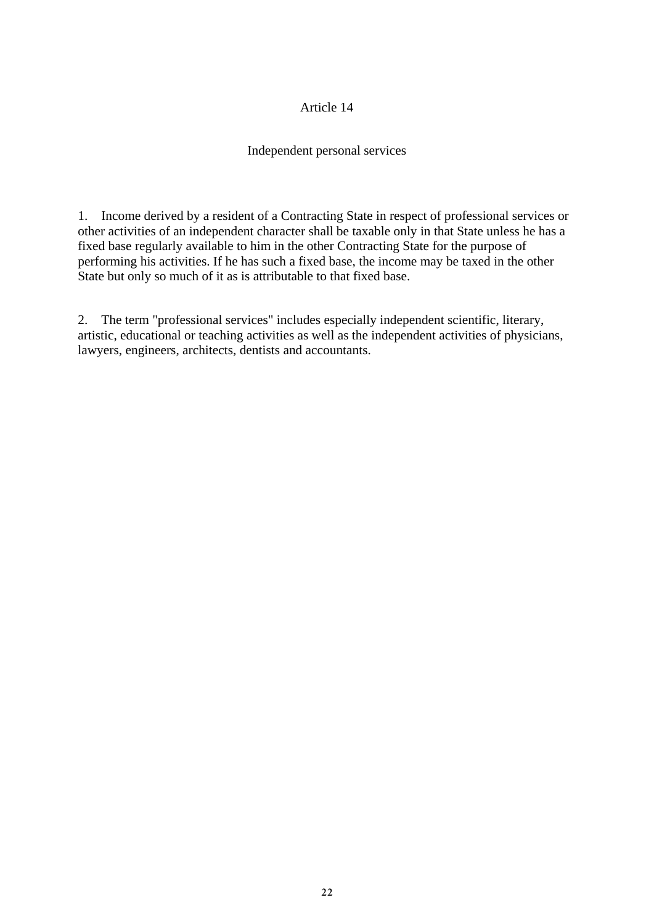#### Independent personal services

1. Income derived by a resident of a Contracting State in respect of professional services or other activities of an independent character shall be taxable only in that State unless he has a fixed base regularly available to him in the other Contracting State for the purpose of performing his activities. If he has such a fixed base, the income may be taxed in the other State but only so much of it as is attributable to that fixed base.

2. The term "professional services" includes especially independent scientific, literary, artistic, educational or teaching activities as well as the independent activities of physicians, lawyers, engineers, architects, dentists and accountants.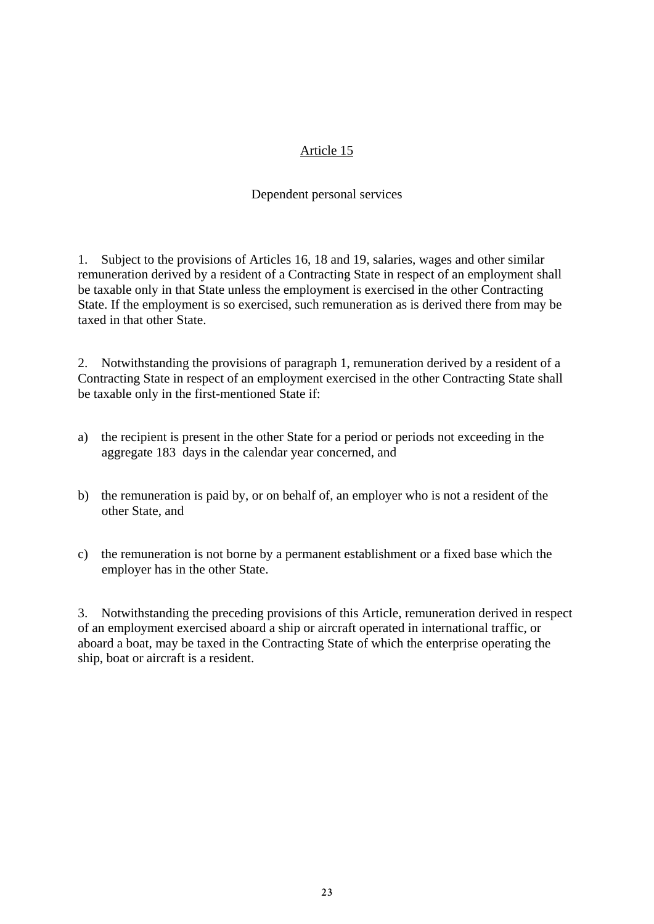#### Dependent personal services

1. Subject to the provisions of Articles 16, 18 and 19, salaries, wages and other similar remuneration derived by a resident of a Contracting State in respect of an employment shall be taxable only in that State unless the employment is exercised in the other Contracting State. If the employment is so exercised, such remuneration as is derived there from may be taxed in that other State.

2. Notwithstanding the provisions of paragraph 1, remuneration derived by a resident of a Contracting State in respect of an employment exercised in the other Contracting State shall be taxable only in the first-mentioned State if:

- a) the recipient is present in the other State for a period or periods not exceeding in the aggregate 183 days in the calendar year concerned, and
- b) the remuneration is paid by, or on behalf of, an employer who is not a resident of the other State, and
- c) the remuneration is not borne by a permanent establishment or a fixed base which the employer has in the other State.

3. Notwithstanding the preceding provisions of this Article, remuneration derived in respect of an employment exercised aboard a ship or aircraft operated in international traffic, or aboard a boat, may be taxed in the Contracting State of which the enterprise operating the ship, boat or aircraft is a resident.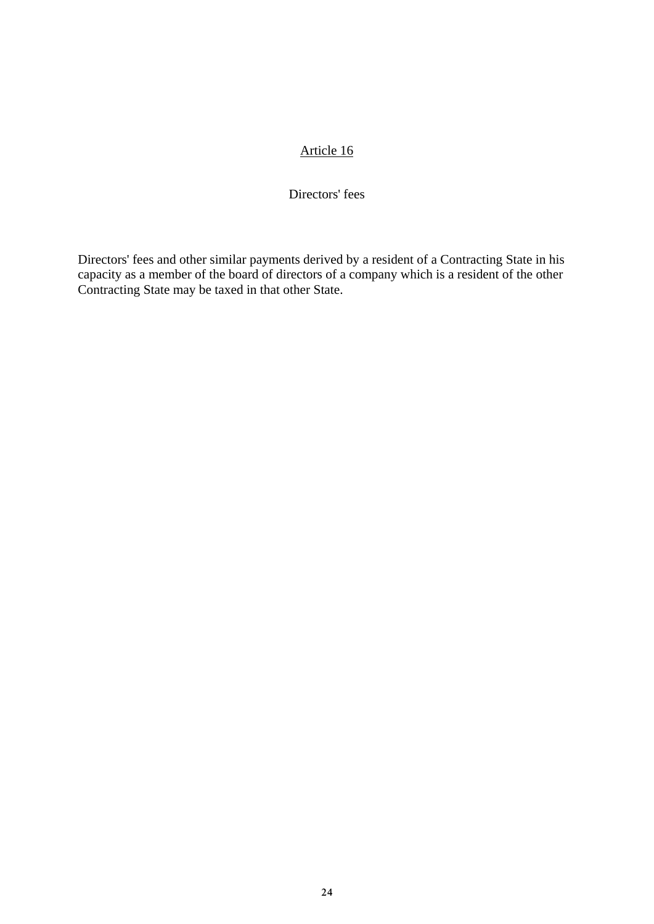#### Directors' fees

Directors' fees and other similar payments derived by a resident of a Contracting State in his capacity as a member of the board of directors of a company which is a resident of the other Contracting State may be taxed in that other State.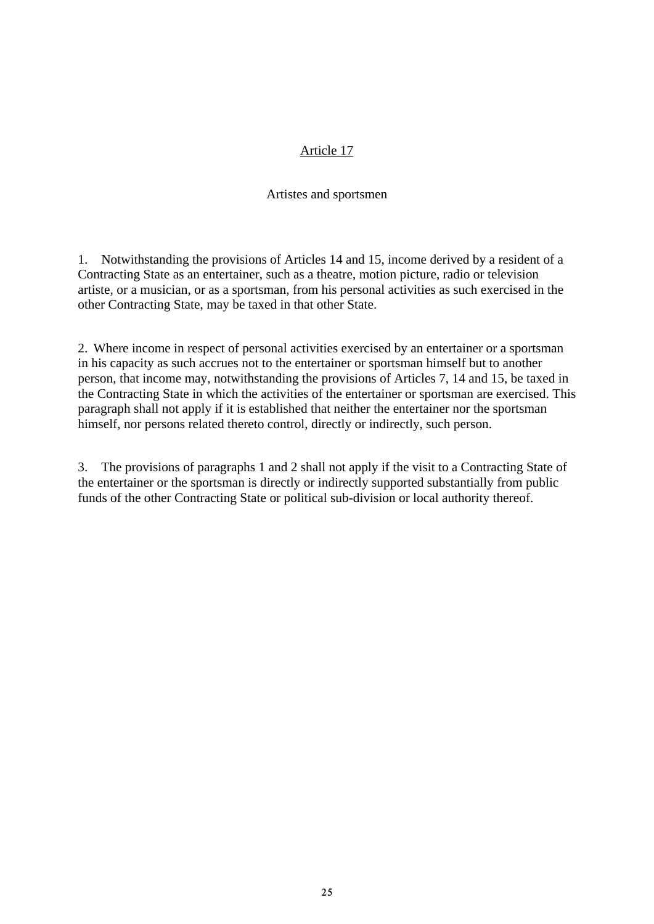#### Artistes and sportsmen

1. Notwithstanding the provisions of Articles 14 and 15, income derived by a resident of a Contracting State as an entertainer, such as a theatre, motion picture, radio or television artiste, or a musician, or as a sportsman, from his personal activities as such exercised in the other Contracting State, may be taxed in that other State.

2. Where income in respect of personal activities exercised by an entertainer or a sportsman in his capacity as such accrues not to the entertainer or sportsman himself but to another person, that income may, notwithstanding the provisions of Articles 7, 14 and 15, be taxed in the Contracting State in which the activities of the entertainer or sportsman are exercised. This paragraph shall not apply if it is established that neither the entertainer nor the sportsman himself, nor persons related thereto control, directly or indirectly, such person.

3. The provisions of paragraphs 1 and 2 shall not apply if the visit to a Contracting State of the entertainer or the sportsman is directly or indirectly supported substantially from public funds of the other Contracting State or political sub-division or local authority thereof.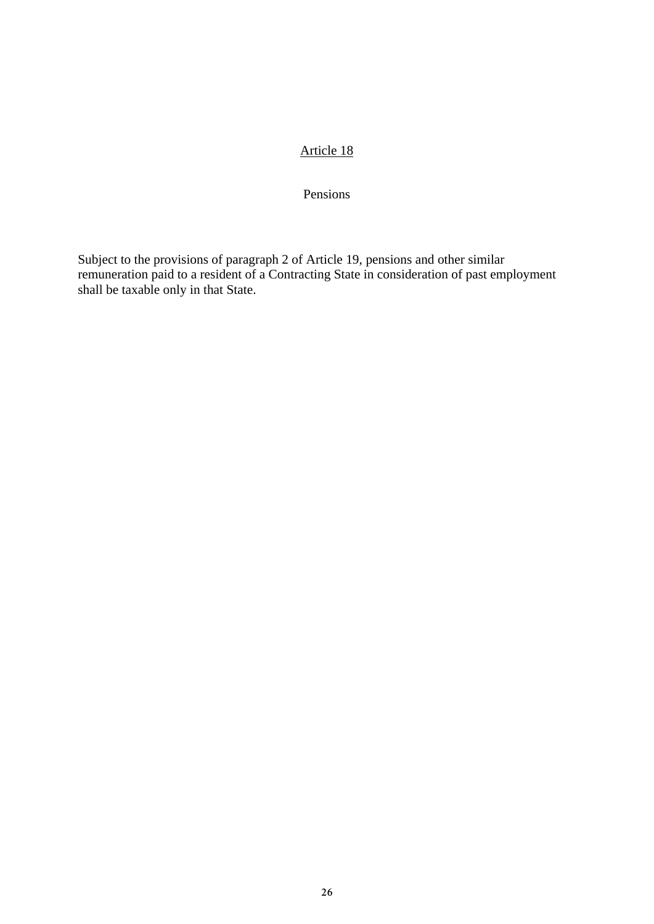Pensions

Subject to the provisions of paragraph 2 of Article 19, pensions and other similar remuneration paid to a resident of a Contracting State in consideration of past employment shall be taxable only in that State.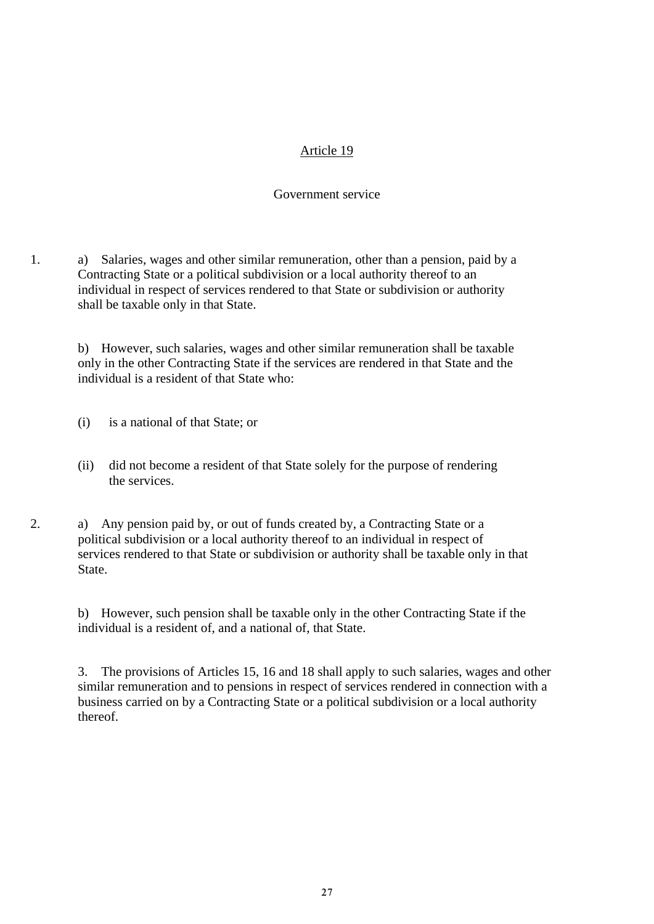#### Government service

1. a) Salaries, wages and other similar remuneration, other than a pension, paid by a Contracting State or a political subdivision or a local authority thereof to an individual in respect of services rendered to that State or subdivision or authority shall be taxable only in that State.

 b) However, such salaries, wages and other similar remuneration shall be taxable only in the other Contracting State if the services are rendered in that State and the individual is a resident of that State who:

- (i) is a national of that State; or
- (ii) did not become a resident of that State solely for the purpose of rendering the services.
- 2. a) Any pension paid by, or out of funds created by, a Contracting State or a political subdivision or a local authority thereof to an individual in respect of services rendered to that State or subdivision or authority shall be taxable only in that State.

 b) However, such pension shall be taxable only in the other Contracting State if the individual is a resident of, and a national of, that State.

3. The provisions of Articles 15, 16 and 18 shall apply to such salaries, wages and other similar remuneration and to pensions in respect of services rendered in connection with a business carried on by a Contracting State or a political subdivision or a local authority thereof.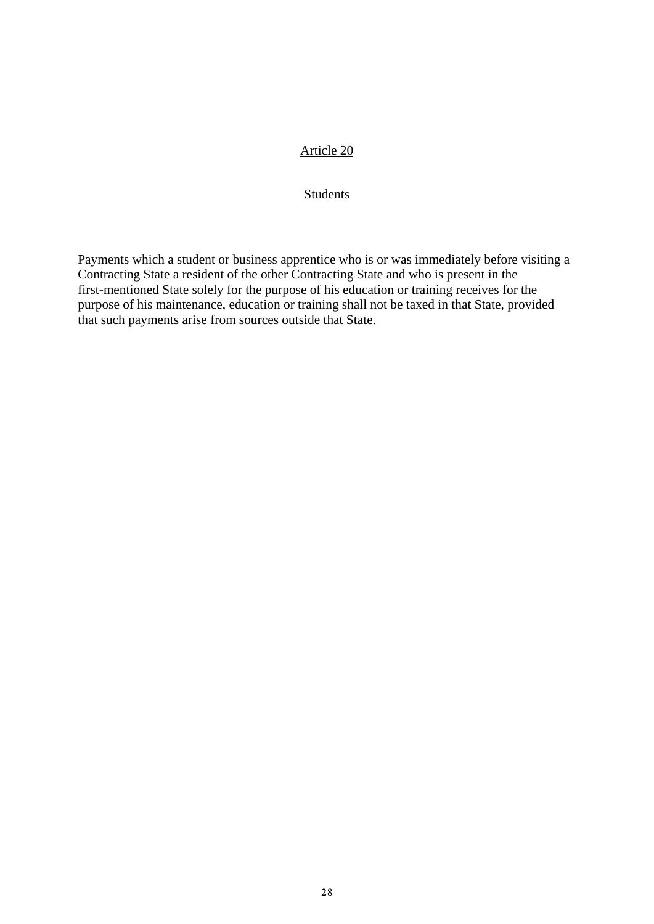**Students** 

Payments which a student or business apprentice who is or was immediately before visiting a Contracting State a resident of the other Contracting State and who is present in the first-mentioned State solely for the purpose of his education or training receives for the purpose of his maintenance, education or training shall not be taxed in that State, provided that such payments arise from sources outside that State.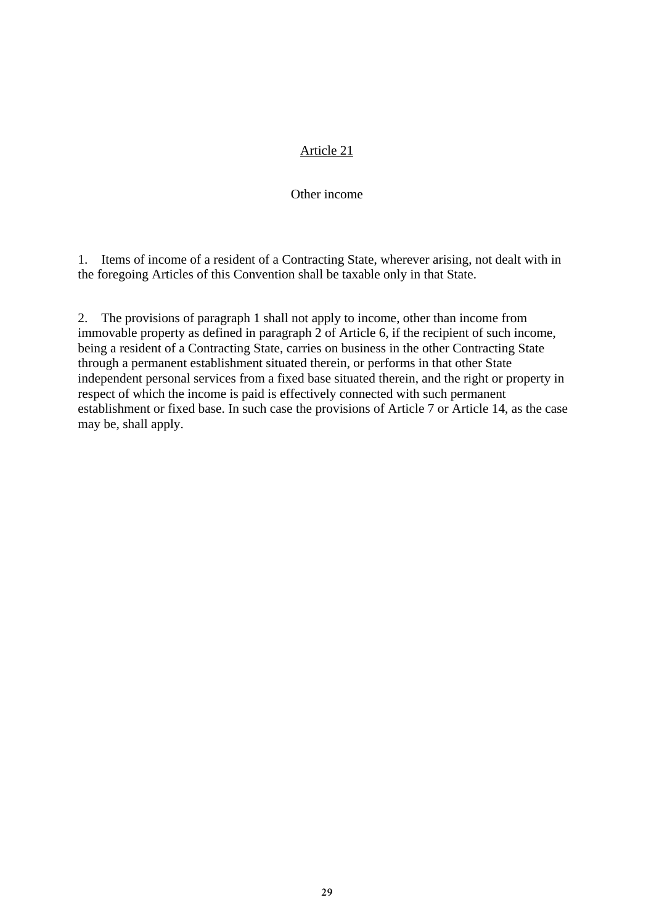#### Other income

1. Items of income of a resident of a Contracting State, wherever arising, not dealt with in the foregoing Articles of this Convention shall be taxable only in that State.

2. The provisions of paragraph 1 shall not apply to income, other than income from immovable property as defined in paragraph 2 of Article 6, if the recipient of such income, being a resident of a Contracting State, carries on business in the other Contracting State through a permanent establishment situated therein, or performs in that other State independent personal services from a fixed base situated therein, and the right or property in respect of which the income is paid is effectively connected with such permanent establishment or fixed base. In such case the provisions of Article 7 or Article 14, as the case may be, shall apply.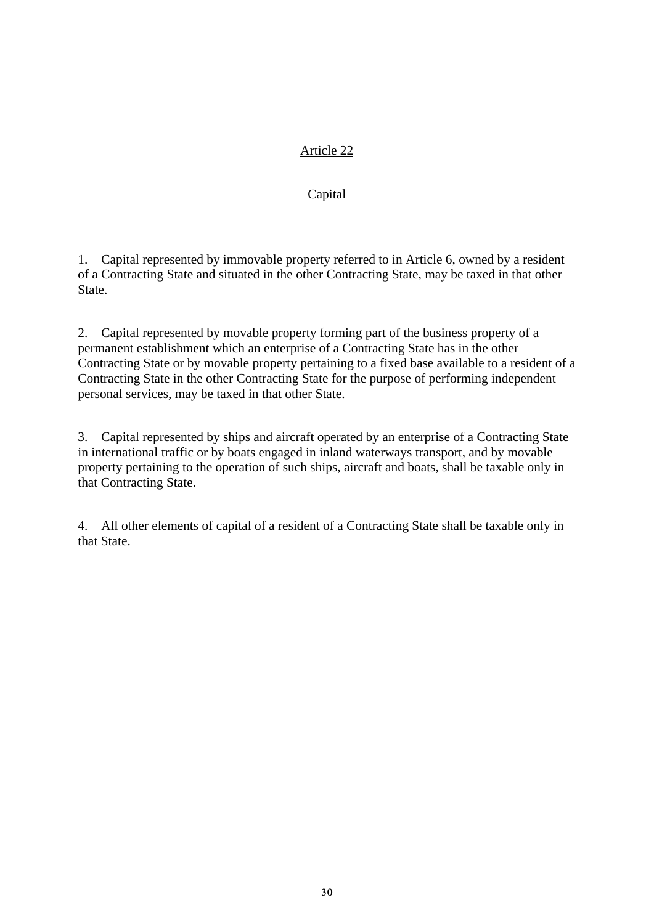### Capital

1. Capital represented by immovable property referred to in Article 6, owned by a resident of a Contracting State and situated in the other Contracting State, may be taxed in that other State.

2. Capital represented by movable property forming part of the business property of a permanent establishment which an enterprise of a Contracting State has in the other Contracting State or by movable property pertaining to a fixed base available to a resident of a Contracting State in the other Contracting State for the purpose of performing independent personal services, may be taxed in that other State.

3. Capital represented by ships and aircraft operated by an enterprise of a Contracting State in international traffic or by boats engaged in inland waterways transport, and by movable property pertaining to the operation of such ships, aircraft and boats, shall be taxable only in that Contracting State.

4. All other elements of capital of a resident of a Contracting State shall be taxable only in that State.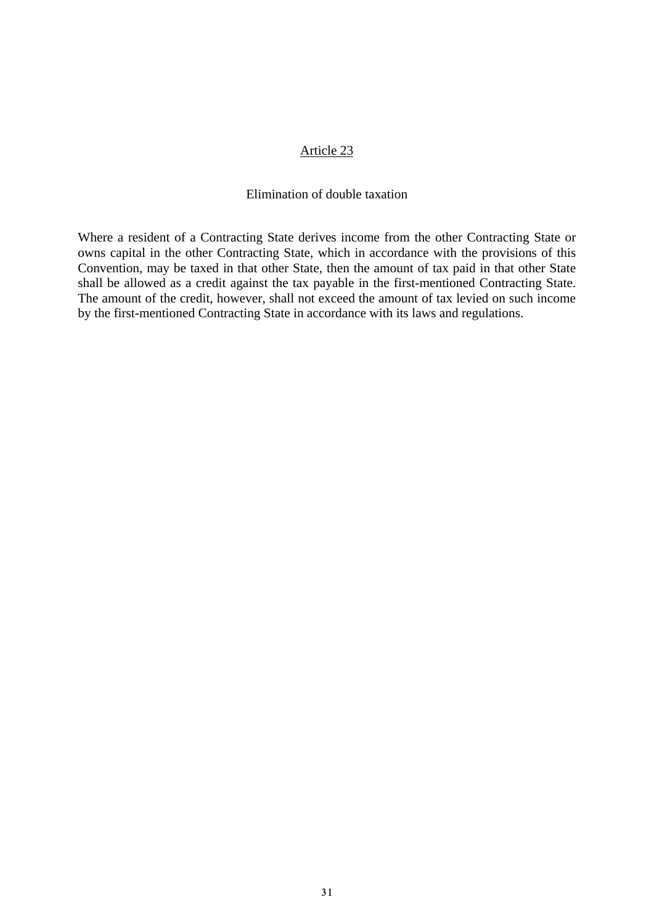#### Elimination of double taxation

Where a resident of a Contracting State derives income from the other Contracting State or owns capital in the other Contracting State, which in accordance with the provisions of this Convention, may be taxed in that other State, then the amount of tax paid in that other State shall be allowed as a credit against the tax payable in the first-mentioned Contracting State. The amount of the credit, however, shall not exceed the amount of tax levied on such income by the first-mentioned Contracting State in accordance with its laws and regulations.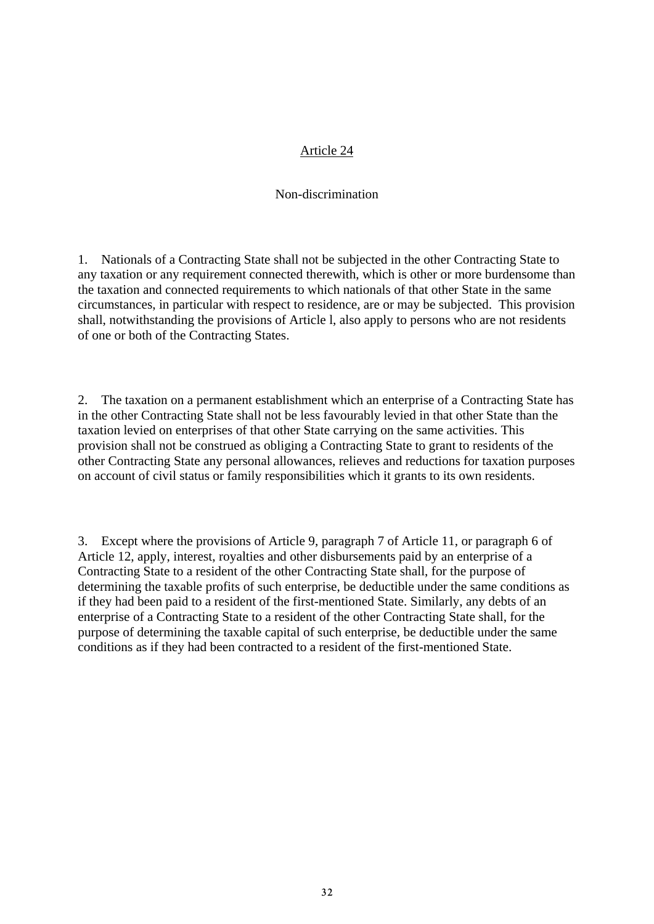#### Non-discrimination

1. Nationals of a Contracting State shall not be subjected in the other Contracting State to any taxation or any requirement connected therewith, which is other or more burdensome than the taxation and connected requirements to which nationals of that other State in the same circumstances, in particular with respect to residence, are or may be subjected. This provision shall, notwithstanding the provisions of Article l, also apply to persons who are not residents of one or both of the Contracting States.

2. The taxation on a permanent establishment which an enterprise of a Contracting State has in the other Contracting State shall not be less favourably levied in that other State than the taxation levied on enterprises of that other State carrying on the same activities. This provision shall not be construed as obliging a Contracting State to grant to residents of the other Contracting State any personal allowances, relieves and reductions for taxation purposes on account of civil status or family responsibilities which it grants to its own residents.

3. Except where the provisions of Article 9, paragraph 7 of Article 11, or paragraph 6 of Article 12, apply, interest, royalties and other disbursements paid by an enterprise of a Contracting State to a resident of the other Contracting State shall, for the purpose of determining the taxable profits of such enterprise, be deductible under the same conditions as if they had been paid to a resident of the first-mentioned State. Similarly, any debts of an enterprise of a Contracting State to a resident of the other Contracting State shall, for the purpose of determining the taxable capital of such enterprise, be deductible under the same conditions as if they had been contracted to a resident of the first-mentioned State.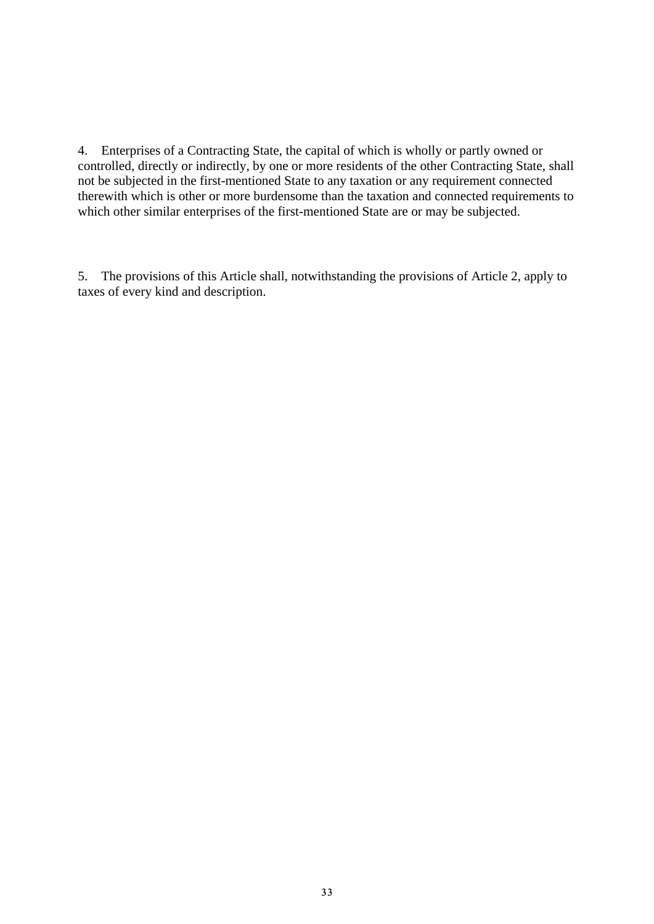4. Enterprises of a Contracting State, the capital of which is wholly or partly owned or controlled, directly or indirectly, by one or more residents of the other Contracting State, shall not be subjected in the first-mentioned State to any taxation or any requirement connected therewith which is other or more burdensome than the taxation and connected requirements to which other similar enterprises of the first-mentioned State are or may be subjected.

5. The provisions of this Article shall, notwithstanding the provisions of Article 2, apply to taxes of every kind and description.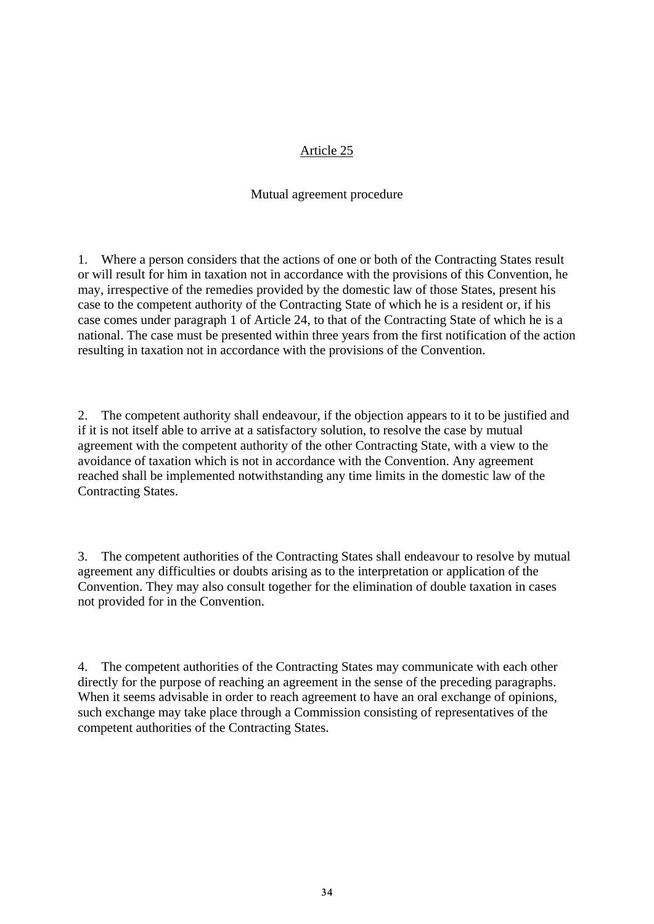#### Mutual agreement procedure

1. Where a person considers that the actions of one or both of the Contracting States result or will result for him in taxation not in accordance with the provisions of this Convention, he may, irrespective of the remedies provided by the domestic law of those States, present his case to the competent authority of the Contracting State of which he is a resident or, if his case comes under paragraph 1 of Article 24, to that of the Contracting State of which he is a national. The case must be presented within three years from the first notification of the action resulting in taxation not in accordance with the provisions of the Convention.

2. The competent authority shall endeavour, if the objection appears to it to be justified and if it is not itself able to arrive at a satisfactory solution, to resolve the case by mutual agreement with the competent authority of the other Contracting State, with a view to the avoidance of taxation which is not in accordance with the Convention. Any agreement reached shall be implemented notwithstanding any time limits in the domestic law of the Contracting States.

3. The competent authorities of the Contracting States shall endeavour to resolve by mutual agreement any difficulties or doubts arising as to the interpretation or application of the Convention. They may also consult together for the elimination of double taxation in cases not provided for in the Convention.

4. The competent authorities of the Contracting States may communicate with each other directly for the purpose of reaching an agreement in the sense of the preceding paragraphs. When it seems advisable in order to reach agreement to have an oral exchange of opinions, such exchange may take place through a Commission consisting of representatives of the competent authorities of the Contracting States.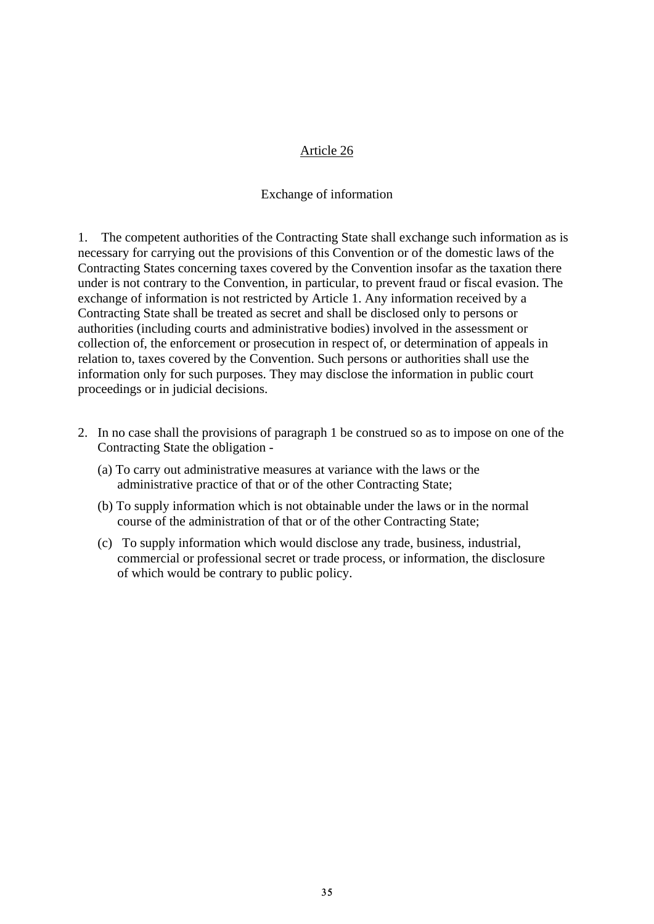#### Exchange of information

1. The competent authorities of the Contracting State shall exchange such information as is necessary for carrying out the provisions of this Convention or of the domestic laws of the Contracting States concerning taxes covered by the Convention insofar as the taxation there under is not contrary to the Convention, in particular, to prevent fraud or fiscal evasion. The exchange of information is not restricted by Article 1. Any information received by a Contracting State shall be treated as secret and shall be disclosed only to persons or authorities (including courts and administrative bodies) involved in the assessment or collection of, the enforcement or prosecution in respect of, or determination of appeals in relation to, taxes covered by the Convention. Such persons or authorities shall use the information only for such purposes. They may disclose the information in public court proceedings or in judicial decisions.

- 2. In no case shall the provisions of paragraph 1 be construed so as to impose on one of the Contracting State the obligation -
	- (a) To carry out administrative measures at variance with the laws or the administrative practice of that or of the other Contracting State;
	- (b) To supply information which is not obtainable under the laws or in the normal course of the administration of that or of the other Contracting State;
	- (c) To supply information which would disclose any trade, business, industrial, commercial or professional secret or trade process, or information, the disclosure of which would be contrary to public policy.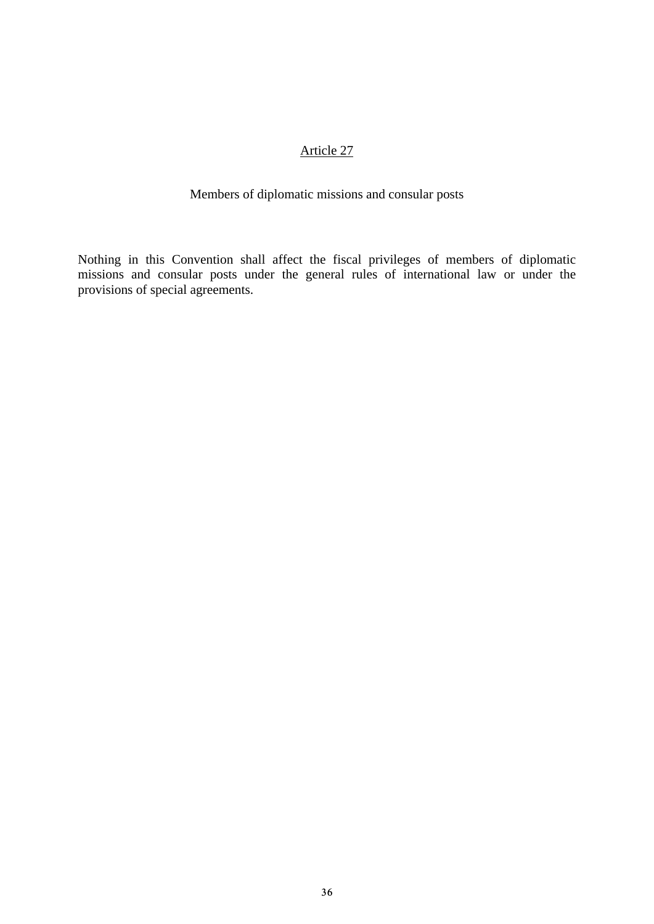# Members of diplomatic missions and consular posts

Nothing in this Convention shall affect the fiscal privileges of members of diplomatic missions and consular posts under the general rules of international law or under the provisions of special agreements.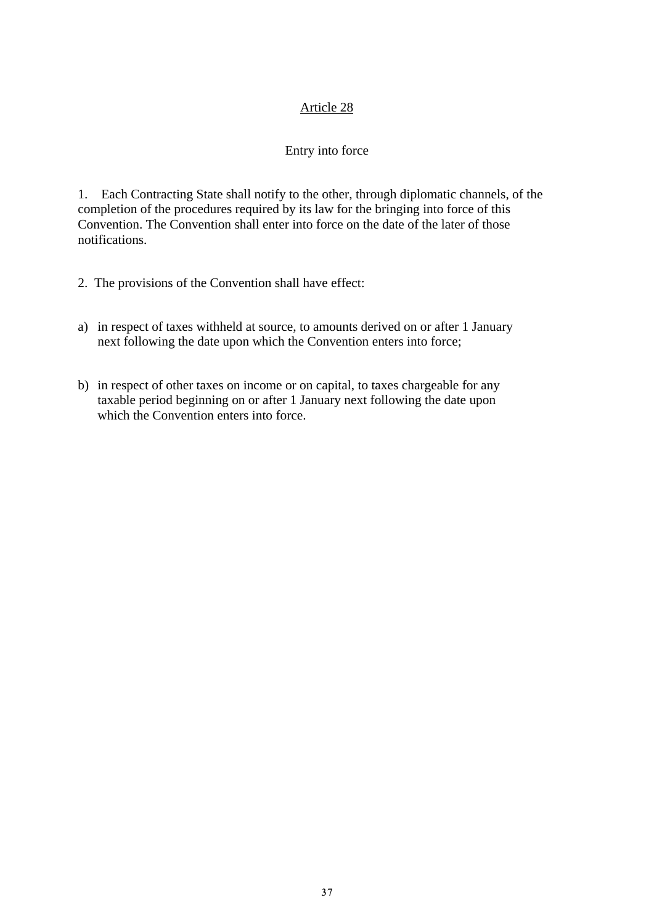### Entry into force

1. Each Contracting State shall notify to the other, through diplomatic channels, of the completion of the procedures required by its law for the bringing into force of this Convention. The Convention shall enter into force on the date of the later of those notifications.

- 2. The provisions of the Convention shall have effect:
- a) in respect of taxes withheld at source, to amounts derived on or after 1 January next following the date upon which the Convention enters into force;
- b) in respect of other taxes on income or on capital, to taxes chargeable for any taxable period beginning on or after 1 January next following the date upon which the Convention enters into force.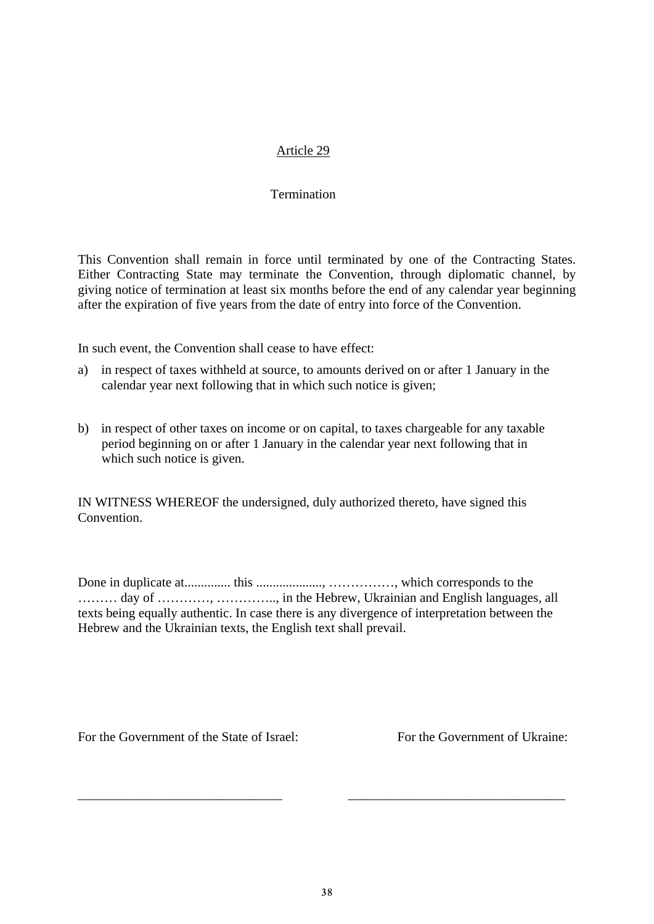#### **Termination**

This Convention shall remain in force until terminated by one of the Contracting States. Either Contracting State may terminate the Convention, through diplomatic channel, by giving notice of termination at least six months before the end of any calendar year beginning after the expiration of five years from the date of entry into force of the Convention.

In such event, the Convention shall cease to have effect:

- a) in respect of taxes withheld at source, to amounts derived on or after 1 January in the calendar year next following that in which such notice is given;
- b) in respect of other taxes on income or on capital, to taxes chargeable for any taxable period beginning on or after 1 January in the calendar year next following that in which such notice is given.

IN WITNESS WHEREOF the undersigned, duly authorized thereto, have signed this Convention.

Done in duplicate at.............. this ...................., ……………, which corresponds to the ……… day of …………, ………….., in the Hebrew, Ukrainian and English languages, all texts being equally authentic. In case there is any divergence of interpretation between the Hebrew and the Ukrainian texts, the English text shall prevail.

For the Government of the State of Israel: For the Government of Ukraine:

\_\_\_\_\_\_\_\_\_\_\_\_\_\_\_\_\_\_\_\_\_\_\_\_\_\_\_\_\_\_\_ \_\_\_\_\_\_\_\_\_\_\_\_\_\_\_\_\_\_\_\_\_\_\_\_\_\_\_\_\_\_\_\_\_